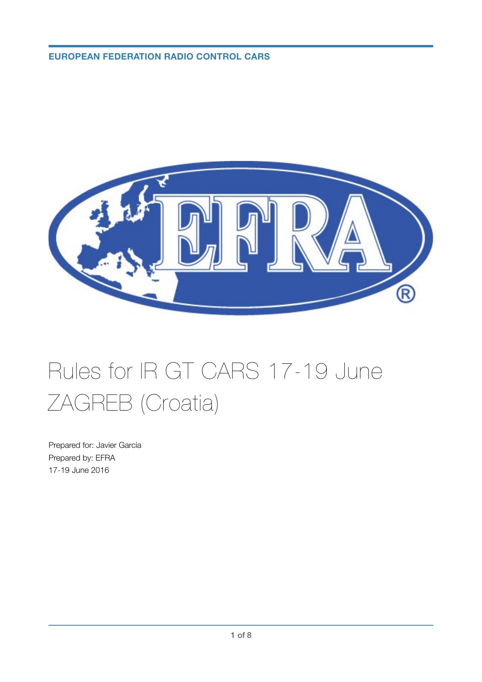# **EUROPEAN FEDERATION RADIO CONTROL CARS**



# Rules for IR GT CARS 17-19 June ZAGREB (Croatia)

Prepared for: Javier García Prepared by: EFRA 17-19 June 2016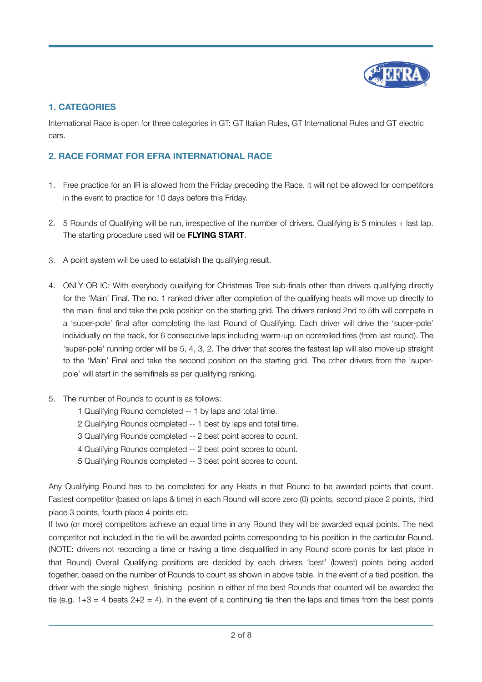

## **1. CATEGORIES**

International Race is open for three categories in GT: GT Italian Rules, GT International Rules and GT electric cars.

## **2. RACE FORMAT FOR EFRA INTERNATIONAL RACE**

- 1. Free practice for an IR is allowed from the Friday preceding the Race. It will not be allowed for competitors in the event to practice for 10 days before this Friday.
- 2. 5 Rounds of Qualifying will be run, irrespective of the number of drivers. Qualifying is 5 minutes + last lap. The starting procedure used will be **FLYING START**.
- 3. A point system will be used to establish the qualifying result.
- 4. ONLY OR IC: With everybody qualifying for Christmas Tree sub-finals other than drivers qualifying directly for the 'Main' Final. The no. 1 ranked driver after completion of the qualifying heats will move up directly to the main final and take the pole position on the starting grid. The drivers ranked 2nd to 5th will compete in a 'super-pole' final after completing the last Round of Qualifying. Each driver will drive the 'super-pole' individually on the track, for 6 consecutive laps including warm-up on controlled tires (from last round). The 'super-pole' running order will be 5, 4, 3, 2. The driver that scores the fastest lap will also move up straight to the 'Main' Final and take the second position on the starting grid. The other drivers from the 'superpole' will start in the semifinals as per qualifying ranking.
- 5. The number of Rounds to count is as follows:
	- 1 Qualifying Round completed -- 1 by laps and total time.
	- 2 Qualifying Rounds completed -- 1 best by laps and total time.
	- 3 Qualifying Rounds completed -- 2 best point scores to count.
	- 4 Qualifying Rounds completed -- 2 best point scores to count.
	- 5 Qualifying Rounds completed -- 3 best point scores to count.

Any Qualifying Round has to be completed for any Heats in that Round to be awarded points that count. Fastest competitor (based on laps & time) in each Round will score zero (0) points, second place 2 points, third place 3 points, fourth place 4 points etc.

If two (or more) competitors achieve an equal time in any Round they will be awarded equal points. The next competitor not included in the tie will be awarded points corresponding to his position in the particular Round. (NOTE: drivers not recording a time or having a time disqualified in any Round score points for last place in that Round) Overall Qualifying positions are decided by each drivers 'best' (lowest) points being added together, based on the number of Rounds to count as shown in above table. In the event of a tied position, the driver with the single highest finishing position in either of the best Rounds that counted will be awarded the tie (e.g.  $1+3 = 4$  beats  $2+2 = 4$ ). In the event of a continuing tie then the laps and times from the best points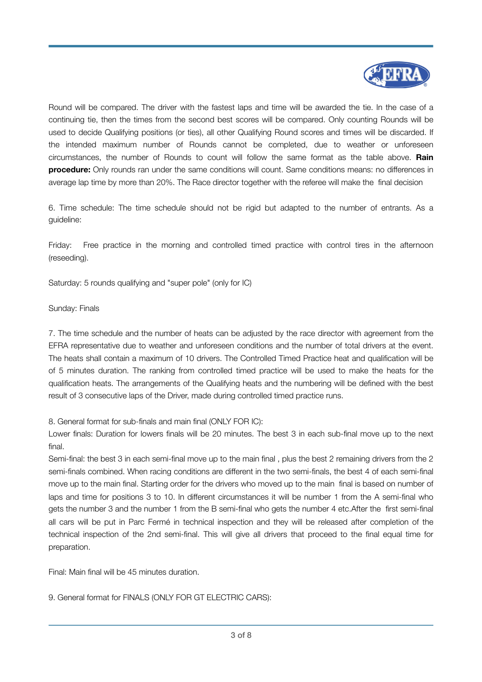

Round will be compared. The driver with the fastest laps and time will be awarded the tie. In the case of a continuing tie, then the times from the second best scores will be compared. Only counting Rounds will be used to decide Qualifying positions (or ties), all other Qualifying Round scores and times will be discarded. If the intended maximum number of Rounds cannot be completed, due to weather or unforeseen circumstances, the number of Rounds to count will follow the same format as the table above. **Rain procedure:** Only rounds ran under the same conditions will count. Same conditions means: no differences in average lap time by more than 20%. The Race director together with the referee will make the final decision

6. Time schedule: The time schedule should not be rigid but adapted to the number of entrants. As a guideline:

Friday: Free practice in the morning and controlled timed practice with control tires in the afternoon (reseeding).

Saturday: 5 rounds qualifying and "super pole" (only for IC)

#### Sunday: Finals

7. The time schedule and the number of heats can be adjusted by the race director with agreement from the EFRA representative due to weather and unforeseen conditions and the number of total drivers at the event. The heats shall contain a maximum of 10 drivers. The Controlled Timed Practice heat and qualification will be of 5 minutes duration. The ranking from controlled timed practice will be used to make the heats for the qualification heats. The arrangements of the Qualifying heats and the numbering will be defined with the best result of 3 consecutive laps of the Driver, made during controlled timed practice runs.

8. General format for sub-finals and main final (ONLY FOR IC):

Lower finals: Duration for lowers finals will be 20 minutes. The best 3 in each sub-final move up to the next final.

Semi-final: the best 3 in each semi-final move up to the main final , plus the best 2 remaining drivers from the 2 semi-finals combined. When racing conditions are different in the two semi-finals, the best 4 of each semi-final move up to the main final. Starting order for the drivers who moved up to the main final is based on number of laps and time for positions 3 to 10. In different circumstances it will be number 1 from the A semi-final who gets the number 3 and the number 1 from the B semi-final who gets the number 4 etc.After the first semi-final all cars will be put in Parc Fermé in technical inspection and they will be released after completion of the technical inspection of the 2nd semi-final. This will give all drivers that proceed to the final equal time for preparation.

Final: Main final will be 45 minutes duration.

9. General format for FINALS (ONLY FOR GT ELECTRIC CARS):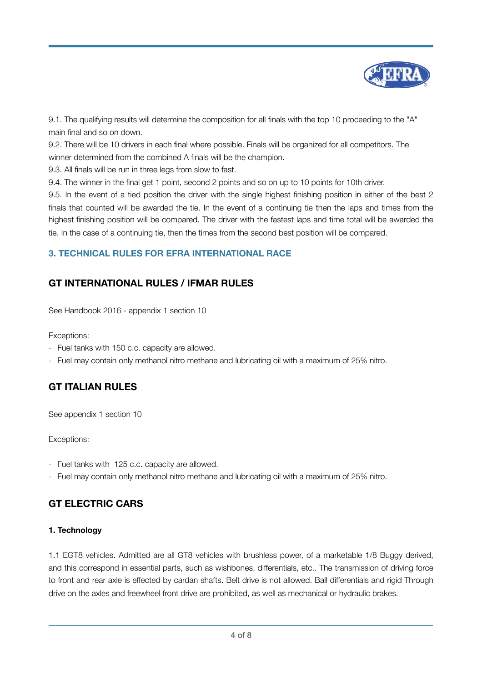

9.1. The qualifying results will determine the composition for all finals with the top 10 proceeding to the "A" main final and so on down.

9.2. There will be 10 drivers in each final where possible. Finals will be organized for all competitors. The winner determined from the combined A finals will be the champion.

9.3. All finals will be run in three legs from slow to fast.

9.4. The winner in the final get 1 point, second 2 points and so on up to 10 points for 10th driver.

9.5. In the event of a tied position the driver with the single highest finishing position in either of the best 2 finals that counted will be awarded the tie. In the event of a continuing tie then the laps and times from the highest finishing position will be compared. The driver with the fastest laps and time total will be awarded the tie. In the case of a continuing tie, then the times from the second best position will be compared.

## **3. TECHNICAL RULES FOR EFRA INTERNATIONAL RACE**

# **GT INTERNATIONAL RULES / IFMAR RULES**

See Handbook 2016 - appendix 1 section 10

Exceptions:

- Fuel tanks with 150 c.c. capacity are allowed.
- Fuel may contain only methanol nitro methane and lubricating oil with a maximum of 25% nitro.

# **GT ITALIAN RULES**

See appendix 1 section 10

Exceptions:

- Fuel tanks with 125 c.c. capacity are allowed.
- Fuel may contain only methanol nitro methane and lubricating oil with a maximum of 25% nitro.

# **GT ELECTRIC CARS**

#### **1. Technology**

1.1 EGT8 vehicles. Admitted are all GT8 vehicles with brushless power, of a marketable 1/8 Buggy derived, and this correspond in essential parts, such as wishbones, differentials, etc.. The transmission of driving force to front and rear axle is effected by cardan shafts. Belt drive is not allowed. Ball differentials and rigid Through drive on the axles and freewheel front drive are prohibited, as well as mechanical or hydraulic brakes.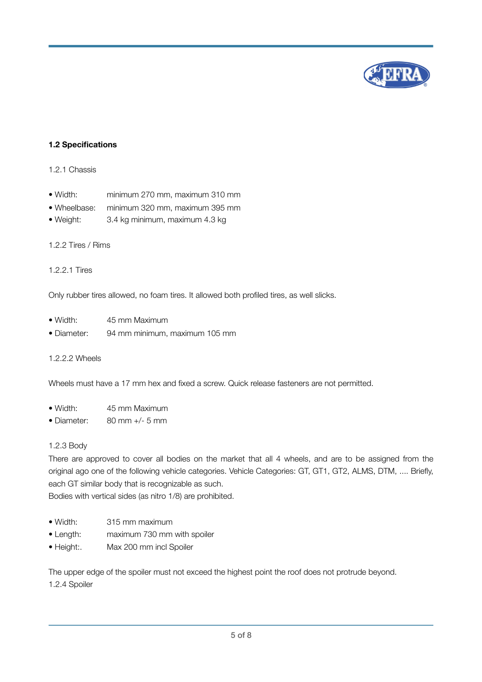

#### **1.2 Specifications**

#### 1.2.1 Chassis

- Width: minimum 270 mm, maximum 310 mm
- Wheelbase: minimum 320 mm, maximum 395 mm
- Weight: 3.4 kg minimum, maximum 4.3 kg

#### 1.2.2 Tires / Rims

#### 1.2.2.1 Tires

Only rubber tires allowed, no foam tires. It allowed both profiled tires, as well slicks.

- Width: 45 mm Maximum • Diameter: 94 mm minimum, maximum 105 mm
- 1.2.2.2 Wheels

Wheels must have a 17 mm hex and fixed a screw. Quick release fasteners are not permitted.

- Width: 45 mm Maximum
- Diameter: 80 mm +/- 5 mm

#### 1.2.3 Body

There are approved to cover all bodies on the market that all 4 wheels, and are to be assigned from the original ago one of the following vehicle categories. Vehicle Categories: GT, GT1, GT2, ALMS, DTM, .... Briefly, each GT similar body that is recognizable as such.

Bodies with vertical sides (as nitro 1/8) are prohibited.

- Width: 315 mm maximum
- Length: maximum 730 mm with spoiler
- Height:. Max 200 mm incl Spoiler

The upper edge of the spoiler must not exceed the highest point the roof does not protrude beyond. 1.2.4 Spoiler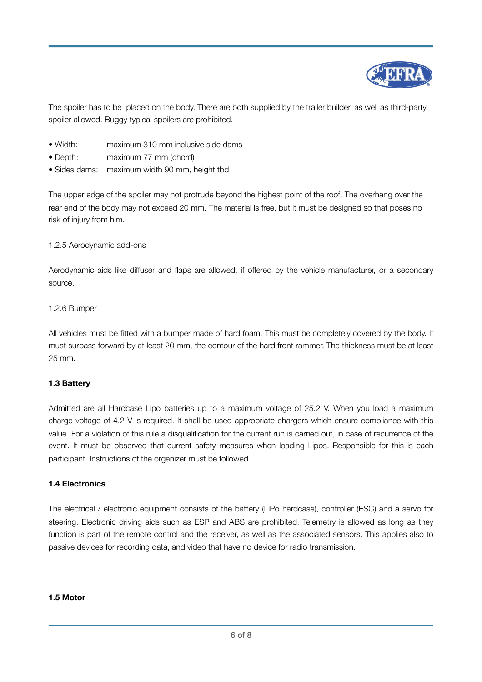

The spoiler has to be placed on the body. There are both supplied by the trailer builder, as well as third-party spoiler allowed. Buggy typical spoilers are prohibited.

- Width: maximum 310 mm inclusive side dams
- Depth: maximum 77 mm (chord)
- Sides dams: maximum width 90 mm, height tbd

The upper edge of the spoiler may not protrude beyond the highest point of the roof. The overhang over the rear end of the body may not exceed 20 mm. The material is free, but it must be designed so that poses no risk of injury from him.

1.2.5 Aerodynamic add-ons

Aerodynamic aids like diffuser and flaps are allowed, if offered by the vehicle manufacturer, or a secondary source.

#### 1.2.6 Bumper

All vehicles must be fitted with a bumper made of hard foam. This must be completely covered by the body. It must surpass forward by at least 20 mm, the contour of the hard front rammer. The thickness must be at least 25 mm.

#### **1.3 Battery**

Admitted are all Hardcase Lipo batteries up to a maximum voltage of 25.2 V. When you load a maximum charge voltage of 4.2 V is required. It shall be used appropriate chargers which ensure compliance with this value. For a violation of this rule a disqualification for the current run is carried out, in case of recurrence of the event. It must be observed that current safety measures when loading Lipos. Responsible for this is each participant. Instructions of the organizer must be followed.

#### **1.4 Electronics**

The electrical / electronic equipment consists of the battery (LiPo hardcase), controller (ESC) and a servo for steering. Electronic driving aids such as ESP and ABS are prohibited. Telemetry is allowed as long as they function is part of the remote control and the receiver, as well as the associated sensors. This applies also to passive devices for recording data, and video that have no device for radio transmission.

#### **1.5 Motor**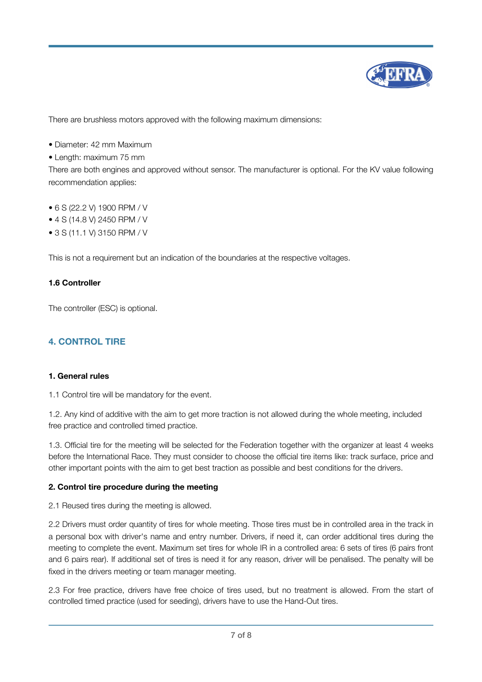

There are brushless motors approved with the following maximum dimensions:

- Diameter: 42 mm Maximum
- Length: maximum 75 mm

There are both engines and approved without sensor. The manufacturer is optional. For the KV value following recommendation applies:

- 6 S (22.2 V) 1900 RPM / V
- 4 S (14.8 V) 2450 RPM / V
- 3 S (11.1 V) 3150 RPM / V

This is not a requirement but an indication of the boundaries at the respective voltages.

#### **1.6 Controller**

The controller (ESC) is optional.

## **4. CONTROL TIRE**

#### **1. General rules**

1.1 Control tire will be mandatory for the event.

1.2. Any kind of additive with the aim to get more traction is not allowed during the whole meeting, included free practice and controlled timed practice.

1.3. Official tire for the meeting will be selected for the Federation together with the organizer at least 4 weeks before the International Race. They must consider to choose the official tire items like: track surface, price and other important points with the aim to get best traction as possible and best conditions for the drivers.

#### **2. Control tire procedure during the meeting**

2.1 Reused tires during the meeting is allowed.

2.2 Drivers must order quantity of tires for whole meeting. Those tires must be in controlled area in the track in a personal box with driver's name and entry number. Drivers, if need it, can order additional tires during the meeting to complete the event. Maximum set tires for whole IR in a controlled area: 6 sets of tires (6 pairs front and 6 pairs rear). If additional set of tires is need it for any reason, driver will be penalised. The penalty will be fixed in the drivers meeting or team manager meeting.

2.3 For free practice, drivers have free choice of tires used, but no treatment is allowed. From the start of controlled timed practice (used for seeding), drivers have to use the Hand-Out tires.